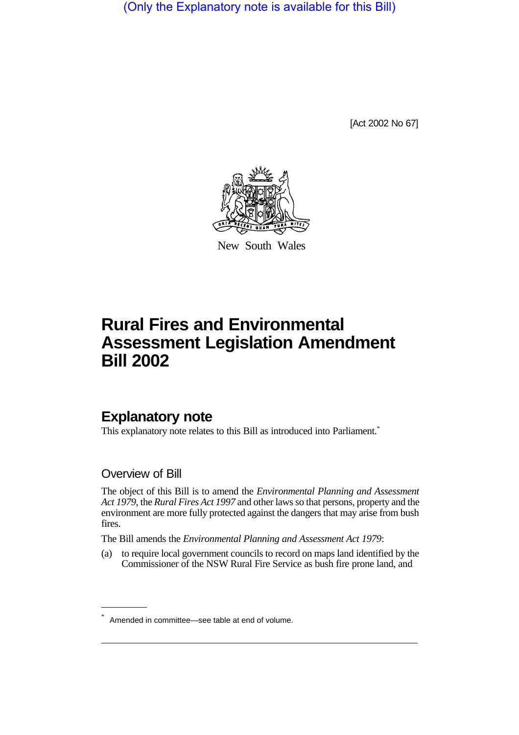(Only the Explanatory note is available for this Bill)

[Act 2002 No 67]



New South Wales

# **Rural Fires and Environmental Assessment Legislation Amendment Bill 2002**

# **Explanatory note**

This explanatory note relates to this Bill as introduced into Parliament.<sup>\*</sup>

### Overview of Bill

The object of this Bill is to amend the *Environmental Planning and Assessment Act 1979*, the *Rural Fires Act 1997* and other laws so that persons, property and the environment are more fully protected against the dangers that may arise from bush fires.

The Bill amends the *Environmental Planning and Assessment Act 1979*:

(a) to require local government councils to record on maps land identified by the Commissioner of the NSW Rural Fire Service as bush fire prone land, and

Amended in committee—see table at end of volume.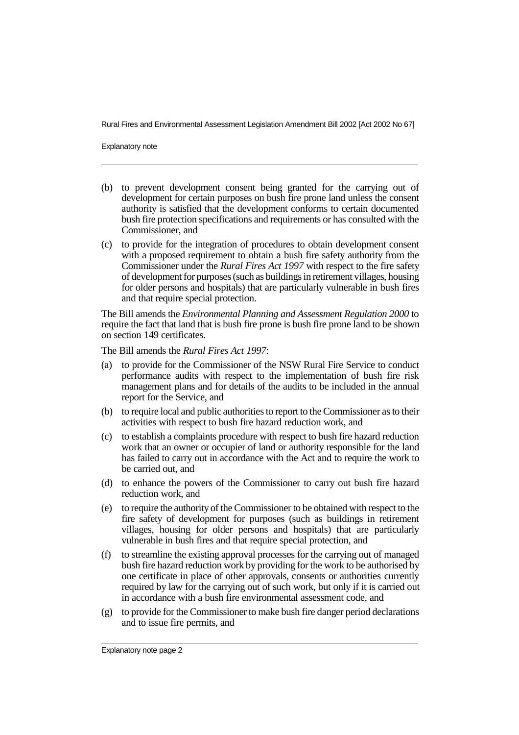Explanatory note

- (b) to prevent development consent being granted for the carrying out of development for certain purposes on bush fire prone land unless the consent authority is satisfied that the development conforms to certain documented bush fire protection specifications and requirements or has consulted with the Commissioner, and
- (c) to provide for the integration of procedures to obtain development consent with a proposed requirement to obtain a bush fire safety authority from the Commissioner under the *Rural Fires Act 1997* with respect to the fire safety of development for purposes (such as buildings in retirement villages, housing for older persons and hospitals) that are particularly vulnerable in bush fires and that require special protection.

The Bill amends the *Environmental Planning and Assessment Regulation 2000* to require the fact that land that is bush fire prone is bush fire prone land to be shown on section 149 certificates.

The Bill amends the *Rural Fires Act 1997*:

- (a) to provide for the Commissioner of the NSW Rural Fire Service to conduct performance audits with respect to the implementation of bush fire risk management plans and for details of the audits to be included in the annual report for the Service, and
- (b) to require local and public authorities to report to the Commissioner as to their activities with respect to bush fire hazard reduction work, and
- (c) to establish a complaints procedure with respect to bush fire hazard reduction work that an owner or occupier of land or authority responsible for the land has failed to carry out in accordance with the Act and to require the work to be carried out, and
- (d) to enhance the powers of the Commissioner to carry out bush fire hazard reduction work, and
- (e) to require the authority of the Commissioner to be obtained with respect to the fire safety of development for purposes (such as buildings in retirement villages, housing for older persons and hospitals) that are particularly vulnerable in bush fires and that require special protection, and
- (f) to streamline the existing approval processes for the carrying out of managed bush fire hazard reduction work by providing for the work to be authorised by one certificate in place of other approvals, consents or authorities currently required by law for the carrying out of such work, but only if it is carried out in accordance with a bush fire environmental assessment code, and
- (g) to provide for the Commissioner to make bush fire danger period declarations and to issue fire permits, and

Explanatory note page 2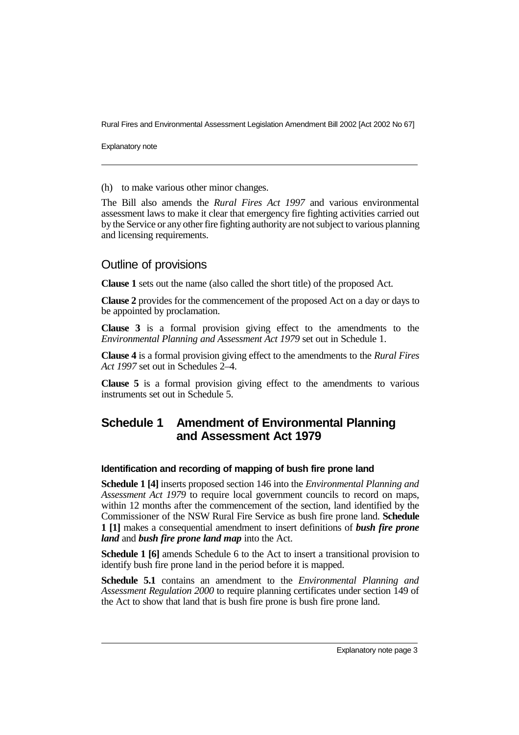Explanatory note

(h) to make various other minor changes.

The Bill also amends the *Rural Fires Act 1997* and various environmental assessment laws to make it clear that emergency fire fighting activities carried out by the Service or any other fire fighting authority are not subject to various planning and licensing requirements.

# Outline of provisions

**Clause 1** sets out the name (also called the short title) of the proposed Act.

**Clause 2** provides for the commencement of the proposed Act on a day or days to be appointed by proclamation.

**Clause 3** is a formal provision giving effect to the amendments to the *Environmental Planning and Assessment Act 1979* set out in Schedule 1.

**Clause 4** is a formal provision giving effect to the amendments to the *Rural Fires Act 1997* set out in Schedules 2–4.

**Clause 5** is a formal provision giving effect to the amendments to various instruments set out in Schedule 5.

# **Schedule 1 Amendment of Environmental Planning and Assessment Act 1979**

#### **Identification and recording of mapping of bush fire prone land**

**Schedule 1 [4]** inserts proposed section 146 into the *Environmental Planning and Assessment Act 1979* to require local government councils to record on maps, within 12 months after the commencement of the section, land identified by the Commissioner of the NSW Rural Fire Service as bush fire prone land. **Schedule 1 [1]** makes a consequential amendment to insert definitions of *bush fire prone land* and *bush fire prone land map* into the Act.

**Schedule 1 [6]** amends Schedule 6 to the Act to insert a transitional provision to identify bush fire prone land in the period before it is mapped.

**Schedule 5.1** contains an amendment to the *Environmental Planning and Assessment Regulation 2000* to require planning certificates under section 149 of the Act to show that land that is bush fire prone is bush fire prone land.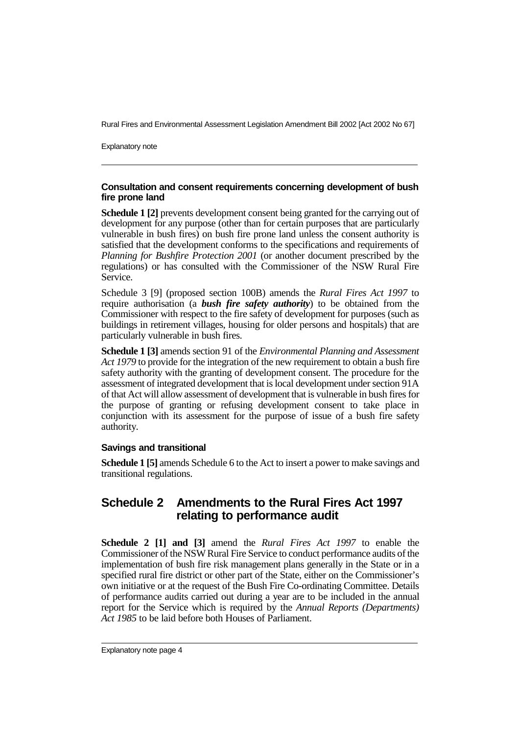Explanatory note

#### **Consultation and consent requirements concerning development of bush fire prone land**

**Schedule 1 [2]** prevents development consent being granted for the carrying out of development for any purpose (other than for certain purposes that are particularly vulnerable in bush fires) on bush fire prone land unless the consent authority is satisfied that the development conforms to the specifications and requirements of *Planning for Bushfire Protection 2001* (or another document prescribed by the regulations) or has consulted with the Commissioner of the NSW Rural Fire Service.

Schedule 3 [9] (proposed section 100B) amends the *Rural Fires Act 1997* to require authorisation (a *bush fire safety authority*) to be obtained from the Commissioner with respect to the fire safety of development for purposes (such as buildings in retirement villages, housing for older persons and hospitals) that are particularly vulnerable in bush fires.

**Schedule 1 [3]** amends section 91 of the *Environmental Planning and Assessment Act 1979* to provide for the integration of the new requirement to obtain a bush fire safety authority with the granting of development consent. The procedure for the assessment of integrated development that is local development under section 91A of that Act will allow assessment of development that is vulnerable in bush fires for the purpose of granting or refusing development consent to take place in conjunction with its assessment for the purpose of issue of a bush fire safety authority.

#### **Savings and transitional**

**Schedule 1 [5]** amends Schedule 6 to the Act to insert a power to make savings and transitional regulations.

# **Schedule 2 Amendments to the Rural Fires Act 1997 relating to performance audit**

**Schedule 2 [1] and [3]** amend the *Rural Fires Act 1997* to enable the Commissioner of the NSW Rural Fire Service to conduct performance audits of the implementation of bush fire risk management plans generally in the State or in a specified rural fire district or other part of the State, either on the Commissioner's own initiative or at the request of the Bush Fire Co-ordinating Committee. Details of performance audits carried out during a year are to be included in the annual report for the Service which is required by the *Annual Reports (Departments) Act 1985* to be laid before both Houses of Parliament.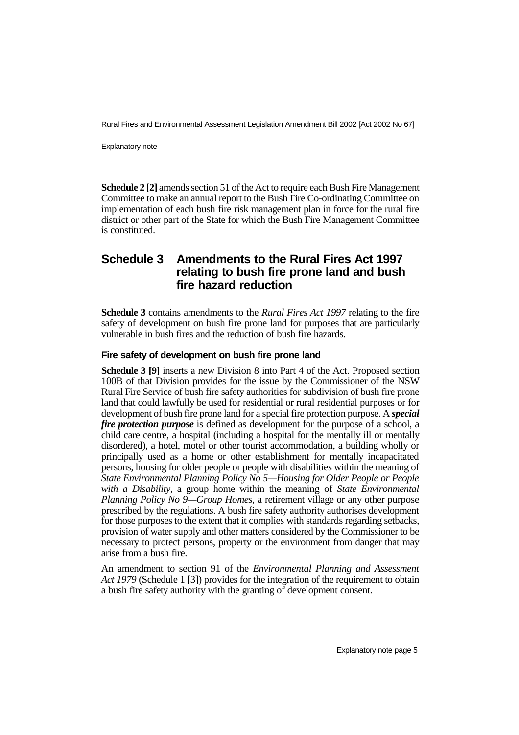Explanatory note

**Schedule 2 [2]** amends section 51 of the Act to require each Bush Fire Management Committee to make an annual report to the Bush Fire Co-ordinating Committee on implementation of each bush fire risk management plan in force for the rural fire district or other part of the State for which the Bush Fire Management Committee is constituted.

# **Schedule 3 Amendments to the Rural Fires Act 1997 relating to bush fire prone land and bush fire hazard reduction**

**Schedule 3** contains amendments to the *Rural Fires Act 1997* relating to the fire safety of development on bush fire prone land for purposes that are particularly vulnerable in bush fires and the reduction of bush fire hazards.

#### **Fire safety of development on bush fire prone land**

**Schedule 3 [9]** inserts a new Division 8 into Part 4 of the Act. Proposed section 100B of that Division provides for the issue by the Commissioner of the NSW Rural Fire Service of bush fire safety authorities for subdivision of bush fire prone land that could lawfully be used for residential or rural residential purposes or for development of bush fire prone land for a special fire protection purpose. A *special fire protection purpose* is defined as development for the purpose of a school, a child care centre, a hospital (including a hospital for the mentally ill or mentally disordered), a hotel, motel or other tourist accommodation, a building wholly or principally used as a home or other establishment for mentally incapacitated persons, housing for older people or people with disabilities within the meaning of *State Environmental Planning Policy No 5—Housing for Older People or People with a Disability*, a group home within the meaning of *State Environmental Planning Policy No 9—Group Homes*, a retirement village or any other purpose prescribed by the regulations. A bush fire safety authority authorises development for those purposes to the extent that it complies with standards regarding setbacks, provision of water supply and other matters considered by the Commissioner to be necessary to protect persons, property or the environment from danger that may arise from a bush fire.

An amendment to section 91 of the *Environmental Planning and Assessment Act 1979* (Schedule 1 [3]) provides for the integration of the requirement to obtain a bush fire safety authority with the granting of development consent.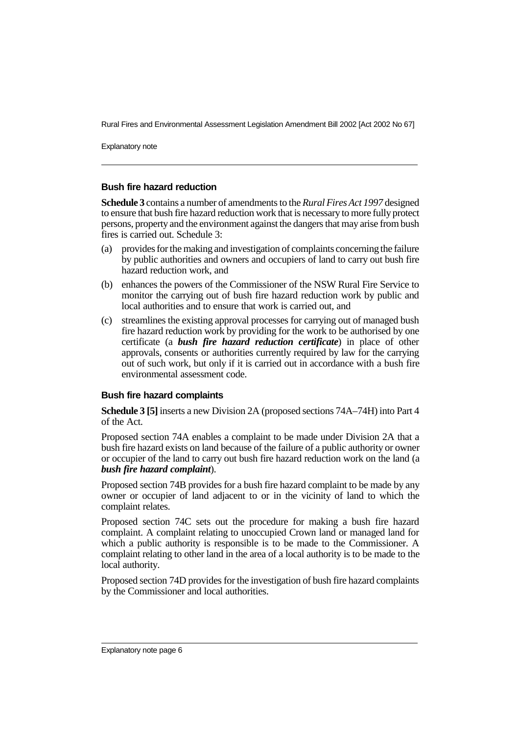Explanatory note

#### **Bush fire hazard reduction**

**Schedule 3** contains a number of amendments to the *Rural Fires Act 1997* designed to ensure that bush fire hazard reduction work that is necessary to more fully protect persons, property and the environment against the dangers that may arise from bush fires is carried out. Schedule 3:

- (a) provides for the making and investigation of complaints concerning the failure by public authorities and owners and occupiers of land to carry out bush fire hazard reduction work, and
- (b) enhances the powers of the Commissioner of the NSW Rural Fire Service to monitor the carrying out of bush fire hazard reduction work by public and local authorities and to ensure that work is carried out, and
- (c) streamlines the existing approval processes for carrying out of managed bush fire hazard reduction work by providing for the work to be authorised by one certificate (a *bush fire hazard reduction certificate*) in place of other approvals, consents or authorities currently required by law for the carrying out of such work, but only if it is carried out in accordance with a bush fire environmental assessment code.

#### **Bush fire hazard complaints**

**Schedule 3 [5]** inserts a new Division 2A (proposed sections 74A–74H) into Part 4 of the Act.

Proposed section 74A enables a complaint to be made under Division 2A that a bush fire hazard exists on land because of the failure of a public authority or owner or occupier of the land to carry out bush fire hazard reduction work on the land (a *bush fire hazard complaint*).

Proposed section 74B provides for a bush fire hazard complaint to be made by any owner or occupier of land adjacent to or in the vicinity of land to which the complaint relates.

Proposed section 74C sets out the procedure for making a bush fire hazard complaint. A complaint relating to unoccupied Crown land or managed land for which a public authority is responsible is to be made to the Commissioner. A complaint relating to other land in the area of a local authority is to be made to the local authority.

Proposed section 74D provides for the investigation of bush fire hazard complaints by the Commissioner and local authorities.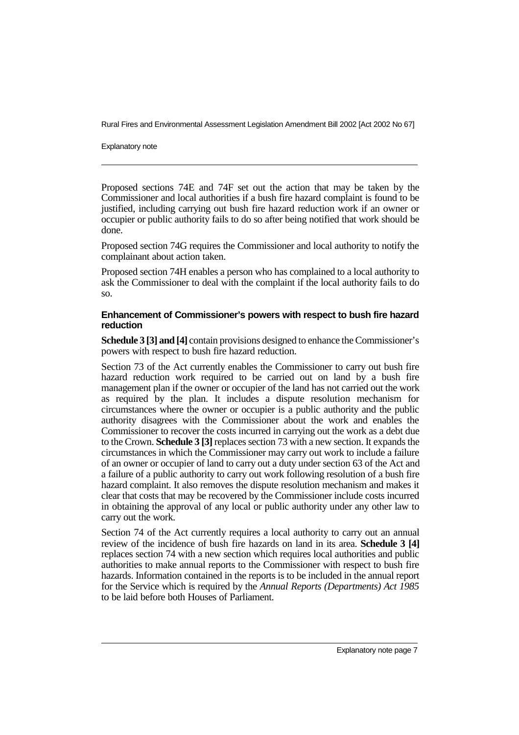Explanatory note

Proposed sections 74E and 74F set out the action that may be taken by the Commissioner and local authorities if a bush fire hazard complaint is found to be justified, including carrying out bush fire hazard reduction work if an owner or occupier or public authority fails to do so after being notified that work should be done.

Proposed section 74G requires the Commissioner and local authority to notify the complainant about action taken.

Proposed section 74H enables a person who has complained to a local authority to ask the Commissioner to deal with the complaint if the local authority fails to do so.

#### **Enhancement of Commissioner's powers with respect to bush fire hazard reduction**

**Schedule 3 [3] and [4]** contain provisions designed to enhance the Commissioner's powers with respect to bush fire hazard reduction.

Section 73 of the Act currently enables the Commissioner to carry out bush fire hazard reduction work required to be carried out on land by a bush fire management plan if the owner or occupier of the land has not carried out the work as required by the plan. It includes a dispute resolution mechanism for circumstances where the owner or occupier is a public authority and the public authority disagrees with the Commissioner about the work and enables the Commissioner to recover the costs incurred in carrying out the work as a debt due to the Crown. **Schedule 3 [3]** replaces section 73 with a new section. It expands the circumstances in which the Commissioner may carry out work to include a failure of an owner or occupier of land to carry out a duty under section 63 of the Act and a failure of a public authority to carry out work following resolution of a bush fire hazard complaint. It also removes the dispute resolution mechanism and makes it clear that costs that may be recovered by the Commissioner include costs incurred in obtaining the approval of any local or public authority under any other law to carry out the work.

Section 74 of the Act currently requires a local authority to carry out an annual review of the incidence of bush fire hazards on land in its area. **Schedule 3 [4]** replaces section 74 with a new section which requires local authorities and public authorities to make annual reports to the Commissioner with respect to bush fire hazards. Information contained in the reports is to be included in the annual report for the Service which is required by the *Annual Reports (Departments) Act 1985* to be laid before both Houses of Parliament.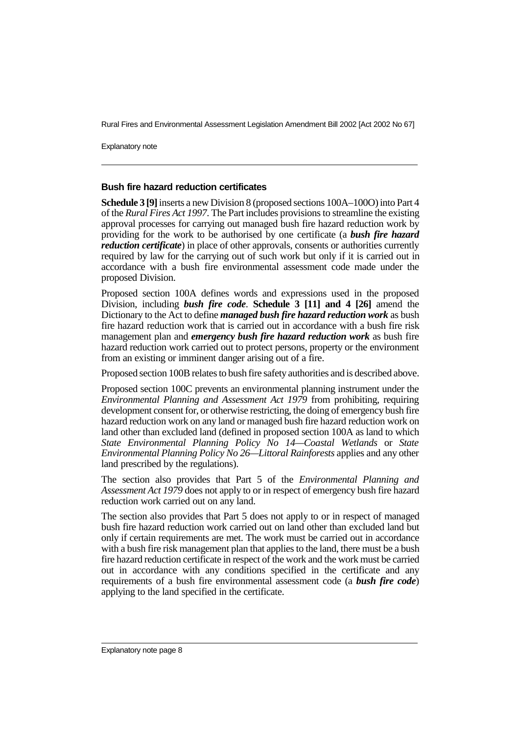Explanatory note

#### **Bush fire hazard reduction certificates**

**Schedule 3 [9]**inserts a new Division 8 (proposed sections 100A–100O) into Part 4 of the *Rural Fires Act 1997*. The Part includes provisions to streamline the existing approval processes for carrying out managed bush fire hazard reduction work by providing for the work to be authorised by one certificate (a *bush fire hazard reduction certificate*) in place of other approvals, consents or authorities currently required by law for the carrying out of such work but only if it is carried out in accordance with a bush fire environmental assessment code made under the proposed Division.

Proposed section 100A defines words and expressions used in the proposed Division, including *bush fire code*. **Schedule 3 [11] and 4 [26]** amend the Dictionary to the Act to define *managed bush fire hazard reduction work* as bush fire hazard reduction work that is carried out in accordance with a bush fire risk management plan and *emergency bush fire hazard reduction work* as bush fire hazard reduction work carried out to protect persons, property or the environment from an existing or imminent danger arising out of a fire.

Proposed section 100B relates to bush fire safety authorities and is described above.

Proposed section 100C prevents an environmental planning instrument under the *Environmental Planning and Assessment Act 1979* from prohibiting, requiring development consent for, or otherwise restricting, the doing of emergency bush fire hazard reduction work on any land or managed bush fire hazard reduction work on land other than excluded land (defined in proposed section 100A as land to which *State Environmental Planning Policy No 14—Coastal Wetlands* or *State Environmental Planning Policy No 26—Littoral Rainforests* applies and any other land prescribed by the regulations).

The section also provides that Part 5 of the *Environmental Planning and Assessment Act 1979* does not apply to or in respect of emergency bush fire hazard reduction work carried out on any land.

The section also provides that Part 5 does not apply to or in respect of managed bush fire hazard reduction work carried out on land other than excluded land but only if certain requirements are met. The work must be carried out in accordance with a bush fire risk management plan that applies to the land, there must be a bush fire hazard reduction certificate in respect of the work and the work must be carried out in accordance with any conditions specified in the certificate and any requirements of a bush fire environmental assessment code (a *bush fire code*) applying to the land specified in the certificate.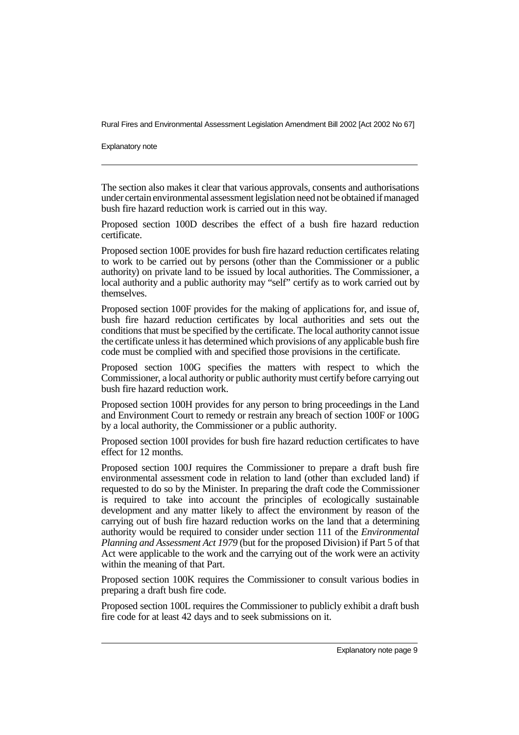Explanatory note

The section also makes it clear that various approvals, consents and authorisations under certain environmental assessment legislation need not be obtained if managed bush fire hazard reduction work is carried out in this way.

Proposed section 100D describes the effect of a bush fire hazard reduction certificate.

Proposed section 100E provides for bush fire hazard reduction certificates relating to work to be carried out by persons (other than the Commissioner or a public authority) on private land to be issued by local authorities. The Commissioner, a local authority and a public authority may "self" certify as to work carried out by themselves.

Proposed section 100F provides for the making of applications for, and issue of, bush fire hazard reduction certificates by local authorities and sets out the conditions that must be specified by the certificate. The local authority cannot issue the certificate unless it has determined which provisions of any applicable bush fire code must be complied with and specified those provisions in the certificate.

Proposed section 100G specifies the matters with respect to which the Commissioner, a local authority or public authority must certify before carrying out bush fire hazard reduction work.

Proposed section 100H provides for any person to bring proceedings in the Land and Environment Court to remedy or restrain any breach of section 100F or 100G by a local authority, the Commissioner or a public authority.

Proposed section 100I provides for bush fire hazard reduction certificates to have effect for 12 months.

Proposed section 100J requires the Commissioner to prepare a draft bush fire environmental assessment code in relation to land (other than excluded land) if requested to do so by the Minister. In preparing the draft code the Commissioner is required to take into account the principles of ecologically sustainable development and any matter likely to affect the environment by reason of the carrying out of bush fire hazard reduction works on the land that a determining authority would be required to consider under section 111 of the *Environmental Planning and Assessment Act 1979* (but for the proposed Division) if Part 5 of that Act were applicable to the work and the carrying out of the work were an activity within the meaning of that Part.

Proposed section 100K requires the Commissioner to consult various bodies in preparing a draft bush fire code.

Proposed section 100L requires the Commissioner to publicly exhibit a draft bush fire code for at least 42 days and to seek submissions on it.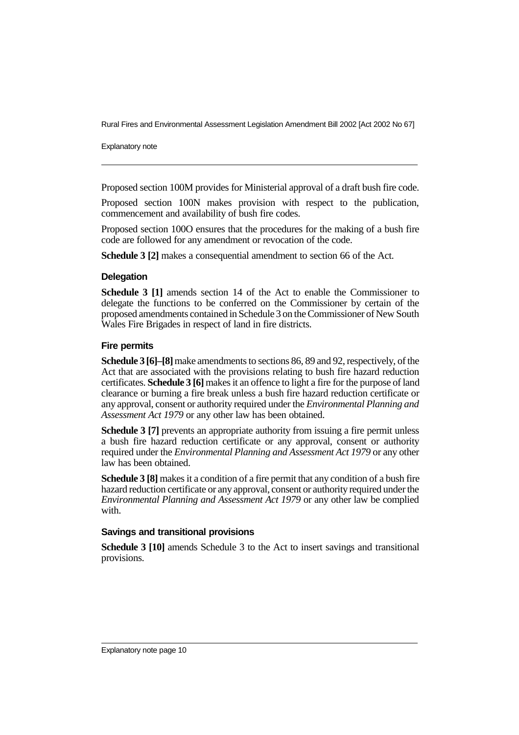Explanatory note

Proposed section 100M provides for Ministerial approval of a draft bush fire code.

Proposed section 100N makes provision with respect to the publication, commencement and availability of bush fire codes.

Proposed section 100O ensures that the procedures for the making of a bush fire code are followed for any amendment or revocation of the code.

**Schedule 3 [2]** makes a consequential amendment to section 66 of the Act.

#### **Delegation**

**Schedule 3 [1]** amends section 14 of the Act to enable the Commissioner to delegate the functions to be conferred on the Commissioner by certain of the proposed amendments contained in Schedule 3 on the Commissioner of New South Wales Fire Brigades in respect of land in fire districts.

#### **Fire permits**

**Schedule 3 [6]–[8]**make amendments to sections 86, 89 and 92, respectively, of the Act that are associated with the provisions relating to bush fire hazard reduction certificates. **Schedule 3 [6]** makes it an offence to light a fire for the purpose of land clearance or burning a fire break unless a bush fire hazard reduction certificate or any approval, consent or authority required under the *Environmental Planning and Assessment Act 1979* or any other law has been obtained.

**Schedule 3 [7]** prevents an appropriate authority from issuing a fire permit unless a bush fire hazard reduction certificate or any approval, consent or authority required under the *Environmental Planning and Assessment Act 1979* or any other law has been obtained.

**Schedule 3 [8]** makes it a condition of a fire permit that any condition of a bush fire hazard reduction certificate or any approval, consent or authority required under the *Environmental Planning and Assessment Act 1979* or any other law be complied with.

#### **Savings and transitional provisions**

**Schedule 3 [10]** amends Schedule 3 to the Act to insert savings and transitional provisions.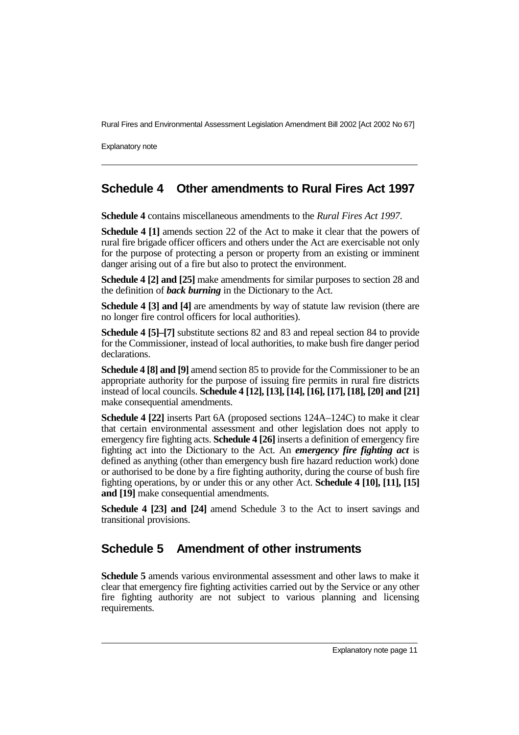Explanatory note

# **Schedule 4 Other amendments to Rural Fires Act 1997**

**Schedule 4** contains miscellaneous amendments to the *Rural Fires Act 1997*.

**Schedule 4 [1]** amends section 22 of the Act to make it clear that the powers of rural fire brigade officer officers and others under the Act are exercisable not only for the purpose of protecting a person or property from an existing or imminent danger arising out of a fire but also to protect the environment.

**Schedule 4 [2] and [25]** make amendments for similar purposes to section 28 and the definition of *back burning* in the Dictionary to the Act.

**Schedule 4 [3] and [4]** are amendments by way of statute law revision (there are no longer fire control officers for local authorities).

**Schedule 4 [5]–[7]** substitute sections 82 and 83 and repeal section 84 to provide for the Commissioner, instead of local authorities, to make bush fire danger period declarations.

**Schedule 4 [8] and [9]** amend section 85 to provide for the Commissioner to be an appropriate authority for the purpose of issuing fire permits in rural fire districts instead of local councils. **Schedule 4 [12], [13], [14], [16], [17], [18], [20] and [21]** make consequential amendments.

**Schedule 4 [22]** inserts Part 6A (proposed sections 124A–124C) to make it clear that certain environmental assessment and other legislation does not apply to emergency fire fighting acts. **Schedule 4 [26]** inserts a definition of emergency fire fighting act into the Dictionary to the Act. An *emergency fire fighting act* is defined as anything (other than emergency bush fire hazard reduction work) done or authorised to be done by a fire fighting authority, during the course of bush fire fighting operations, by or under this or any other Act. **Schedule 4 [10], [11], [15] and [19]** make consequential amendments.

**Schedule 4 [23] and [24]** amend Schedule 3 to the Act to insert savings and transitional provisions.

# **Schedule 5 Amendment of other instruments**

**Schedule 5** amends various environmental assessment and other laws to make it clear that emergency fire fighting activities carried out by the Service or any other fire fighting authority are not subject to various planning and licensing requirements.